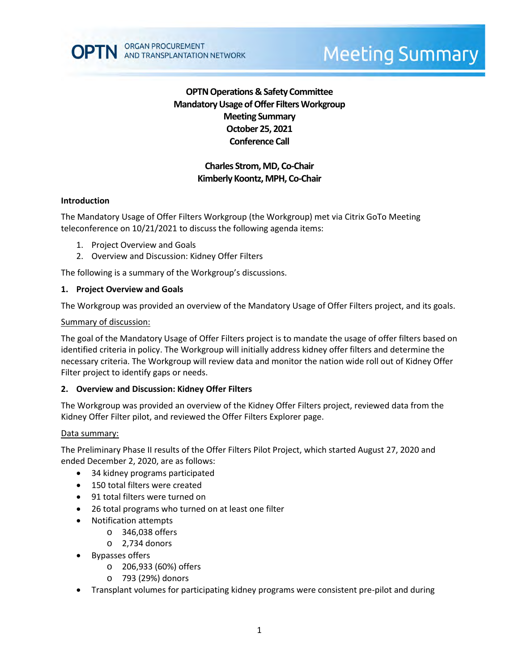

# **Charles Strom, MD, Co-Chair Kimberly Koontz, MPH, Co-Chair**

### **Introduction**

The Mandatory Usage of Offer Filters Workgroup (the Workgroup) met via Citrix GoTo Meeting teleconference on 10/21/2021 to discuss the following agenda items:

- 1. Project Overview and Goals
- 2. Overview and Discussion: Kidney Offer Filters

ORGAN PROCUREMENT

AND TRANSPLANTATION NETWORK

The following is a summary of the Workgroup's discussions.

### **1. Project Overview and Goals**

The Workgroup was provided an overview of the Mandatory Usage of Offer Filters project, and its goals.

### Summary of discussion:

The goal of the Mandatory Usage of Offer Filters project is to mandate the usage of offer filters based on identified criteria in policy. The Workgroup will initially address kidney offer filters and determine the necessary criteria. The Workgroup will review data and monitor the nation wide roll out of Kidney Offer Filter project to identify gaps or needs.

### **2. Overview and Discussion: Kidney Offer Filters**

The Workgroup was provided an overview of the Kidney Offer Filters project, reviewed data from the Kidney Offer Filter pilot, and reviewed the Offer Filters Explorer page.

#### Data summary:

The Preliminary Phase II results of the Offer Filters Pilot Project, which started August 27, 2020 and ended December 2, 2020, are as follows:

- 34 kidney programs participated
- 150 total filters were created
- 91 total filters were turned on
- 26 total programs who turned on at least one filter
- Notification attempts
	- o 346,038 offers
	- o 2,734 donors
- Bypasses offers
	- o 206,933 (60%) offers
	- o 793 (29%) donors
- Transplant volumes for participating kidney programs were consistent pre-pilot and during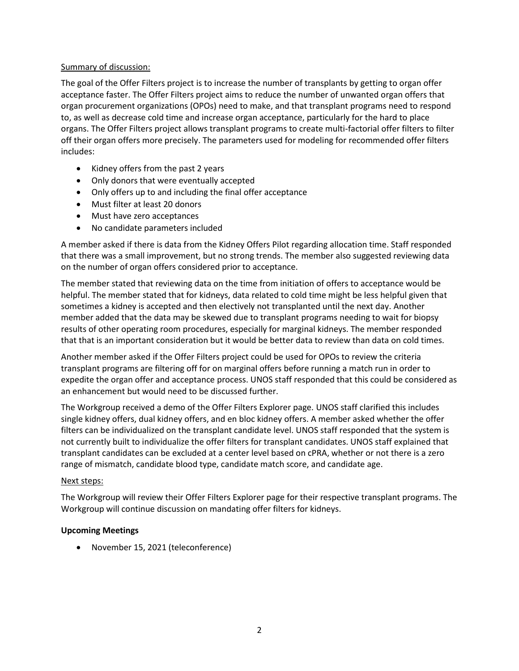### Summary of discussion:

The goal of the Offer Filters project is to increase the number of transplants by getting to organ offer acceptance faster. The Offer Filters project aims to reduce the number of unwanted organ offers that organ procurement organizations (OPOs) need to make, and that transplant programs need to respond to, as well as decrease cold time and increase organ acceptance, particularly for the hard to place organs. The Offer Filters project allows transplant programs to create multi-factorial offer filters to filter off their organ offers more precisely. The parameters used for modeling for recommended offer filters includes:

- Kidney offers from the past 2 years
- Only donors that were eventually accepted
- Only offers up to and including the final offer acceptance
- Must filter at least 20 donors
- Must have zero acceptances
- No candidate parameters included

A member asked if there is data from the Kidney Offers Pilot regarding allocation time. Staff responded that there was a small improvement, but no strong trends. The member also suggested reviewing data on the number of organ offers considered prior to acceptance.

The member stated that reviewing data on the time from initiation of offers to acceptance would be helpful. The member stated that for kidneys, data related to cold time might be less helpful given that sometimes a kidney is accepted and then electively not transplanted until the next day. Another member added that the data may be skewed due to transplant programs needing to wait for biopsy results of other operating room procedures, especially for marginal kidneys. The member responded that that is an important consideration but it would be better data to review than data on cold times.

Another member asked if the Offer Filters project could be used for OPOs to review the criteria transplant programs are filtering off for on marginal offers before running a match run in order to expedite the organ offer and acceptance process. UNOS staff responded that this could be considered as an enhancement but would need to be discussed further.

The Workgroup received a demo of the Offer Filters Explorer page. UNOS staff clarified this includes single kidney offers, dual kidney offers, and en bloc kidney offers. A member asked whether the offer filters can be individualized on the transplant candidate level. UNOS staff responded that the system is not currently built to individualize the offer filters for transplant candidates. UNOS staff explained that transplant candidates can be excluded at a center level based on cPRA, whether or not there is a zero range of mismatch, candidate blood type, candidate match score, and candidate age.

### Next steps:

The Workgroup will review their Offer Filters Explorer page for their respective transplant programs. The Workgroup will continue discussion on mandating offer filters for kidneys.

## **Upcoming Meetings**

November 15, 2021 (teleconference)